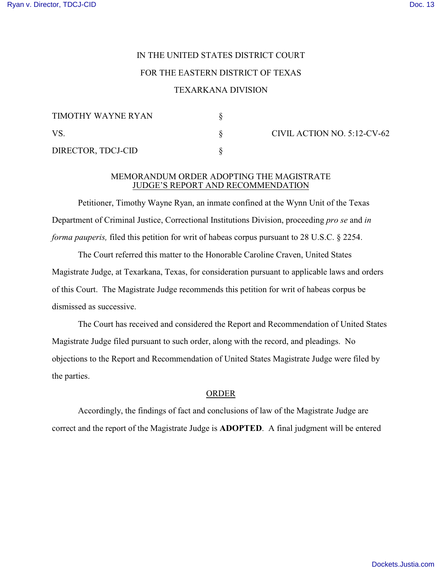# IN THE UNITED STATES DISTRICT COURT FOR THE EASTERN DISTRICT OF TEXAS

## TEXARKANA DIVISION

| TIMOTHY WAYNE RYAN |  |
|--------------------|--|
| VS.                |  |
| DIRECTOR, TDCJ-CID |  |

CIVIL ACTION NO. 5:12-CV-62

#### MEMORANDUM ORDER ADOPTING THE MAGISTRATE JUDGE'S REPORT AND RECOMMENDATION

Petitioner, Timothy Wayne Ryan, an inmate confined at the Wynn Unit of the Texas Department of Criminal Justice, Correctional Institutions Division, proceeding *pro se* and *in forma pauperis,* filed this petition for writ of habeas corpus pursuant to 28 U.S.C. § 2254.

The Court referred this matter to the Honorable Caroline Craven, United States Magistrate Judge, at Texarkana, Texas, for consideration pursuant to applicable laws and orders of this Court. The Magistrate Judge recommends this petition for writ of habeas corpus be dismissed as successive.

The Court has received and considered the Report and Recommendation of United States Magistrate Judge filed pursuant to such order, along with the record, and pleadings. No objections to the Report and Recommendation of United States Magistrate Judge were filed by the parties.

#### ORDER

Accordingly, the findings of fact and conclusions of law of the Magistrate Judge are correct and the report of the Magistrate Judge is **ADOPTED**. A final judgment will be entered